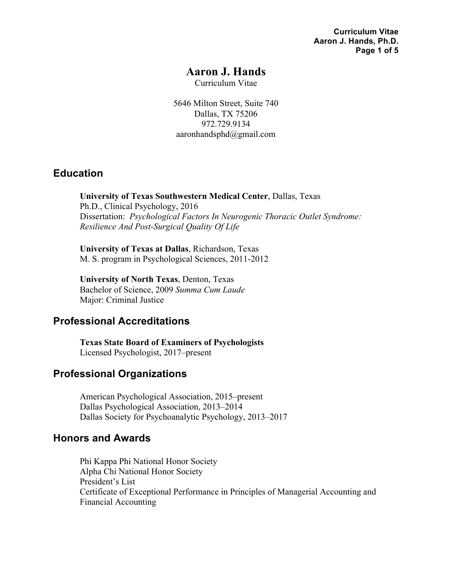**Curriculum Vitae Aaron J. Hands, Ph.D. Page 1 of 5**

## **Aaron J. Hands**

Curriculum Vitae

5646 Milton Street, Suite 740 Dallas, TX 75206 972.729.9134 aaronhandsphd@gmail.com

#### **Education**

**University of Texas Southwestern Medical Center**, Dallas, Texas Ph.D., Clinical Psychology, 2016 Dissertation: *Psychological Factors In Neurogenic Thoracic Outlet Syndrome: Resilience And Post-Surgical Quality Of Life*

**University of Texas at Dallas**, Richardson, Texas M. S. program in Psychological Sciences, 2011-2012

**University of North Texas**, Denton, Texas Bachelor of Science, 2009 *Summa Cum Laude* Major: Criminal Justice

## **Professional Accreditations**

**Texas State Board of Examiners of Psychologists** Licensed Psychologist, 2017–present

## **Professional Organizations**

American Psychological Association, 2015–present Dallas Psychological Association, 2013–2014 Dallas Society for Psychoanalytic Psychology, 2013–2017

## **Honors and Awards**

Phi Kappa Phi National Honor Society Alpha Chi National Honor Society President's List Certificate of Exceptional Performance in Principles of Managerial Accounting and Financial Accounting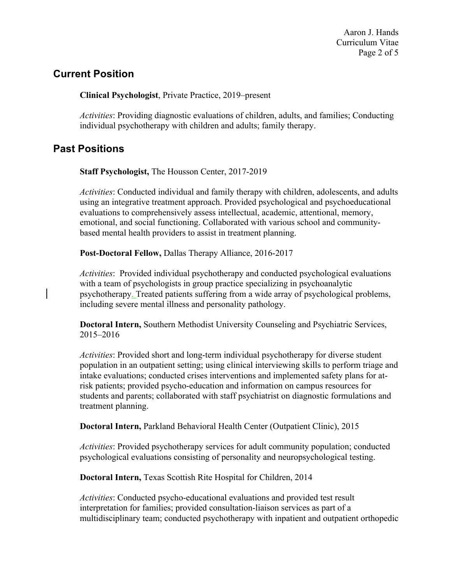Aaron J. Hands Curriculum Vitae Page 2 of 5

## **Current Position**

**Clinical Psychologist**, Private Practice, 2019–present

*Activities*: Providing diagnostic evaluations of children, adults, and families; Conducting individual psychotherapy with children and adults; family therapy.

# **Past Positions**

**Staff Psychologist,** The Housson Center, 2017-2019

*Activities*: Conducted individual and family therapy with children, adolescents, and adults using an integrative treatment approach. Provided psychological and psychoeducational evaluations to comprehensively assess intellectual, academic, attentional, memory, emotional, and social functioning. Collaborated with various school and communitybased mental health providers to assist in treatment planning.

**Post-Doctoral Fellow,** Dallas Therapy Alliance, 2016-2017

*Activities*: Provided individual psychotherapy and conducted psychological evaluations with a team of psychologists in group practice specializing in psychoanalytic psychotherapy. Treated patients suffering from a wide array of psychological problems, including severe mental illness and personality pathology.

**Doctoral Intern,** Southern Methodist University Counseling and Psychiatric Services, 2015–2016

*Activities*: Provided short and long-term individual psychotherapy for diverse student population in an outpatient setting; using clinical interviewing skills to perform triage and intake evaluations; conducted crises interventions and implemented safety plans for atrisk patients; provided psycho-education and information on campus resources for students and parents; collaborated with staff psychiatrist on diagnostic formulations and treatment planning.

**Doctoral Intern,** Parkland Behavioral Health Center (Outpatient Clinic), 2015

*Activities*: Provided psychotherapy services for adult community population; conducted psychological evaluations consisting of personality and neuropsychological testing.

**Doctoral Intern,** Texas Scottish Rite Hospital for Children, 2014

*Activities*: Conducted psycho-educational evaluations and provided test result interpretation for families; provided consultation-liaison services as part of a multidisciplinary team; conducted psychotherapy with inpatient and outpatient orthopedic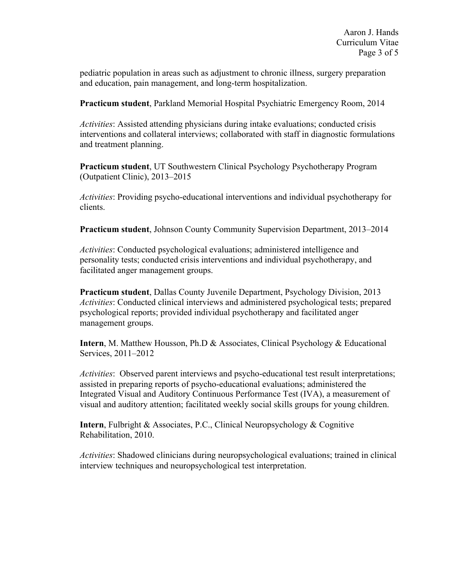pediatric population in areas such as adjustment to chronic illness, surgery preparation and education, pain management, and long-term hospitalization.

**Practicum student**, Parkland Memorial Hospital Psychiatric Emergency Room, 2014

*Activities*: Assisted attending physicians during intake evaluations; conducted crisis interventions and collateral interviews; collaborated with staff in diagnostic formulations and treatment planning.

**Practicum student**, UT Southwestern Clinical Psychology Psychotherapy Program (Outpatient Clinic), 2013–2015

*Activities*: Providing psycho-educational interventions and individual psychotherapy for clients.

**Practicum student**, Johnson County Community Supervision Department, 2013–2014

*Activities*: Conducted psychological evaluations; administered intelligence and personality tests; conducted crisis interventions and individual psychotherapy, and facilitated anger management groups.

**Practicum student**, Dallas County Juvenile Department, Psychology Division, 2013 *Activities*: Conducted clinical interviews and administered psychological tests; prepared psychological reports; provided individual psychotherapy and facilitated anger management groups.

**Intern**, M. Matthew Housson, Ph.D & Associates, Clinical Psychology & Educational Services, 2011–2012

*Activities*: Observed parent interviews and psycho-educational test result interpretations; assisted in preparing reports of psycho-educational evaluations; administered the Integrated Visual and Auditory Continuous Performance Test (IVA), a measurement of visual and auditory attention; facilitated weekly social skills groups for young children.

**Intern**, Fulbright & Associates, P.C., Clinical Neuropsychology & Cognitive Rehabilitation, 2010.

*Activities*: Shadowed clinicians during neuropsychological evaluations; trained in clinical interview techniques and neuropsychological test interpretation.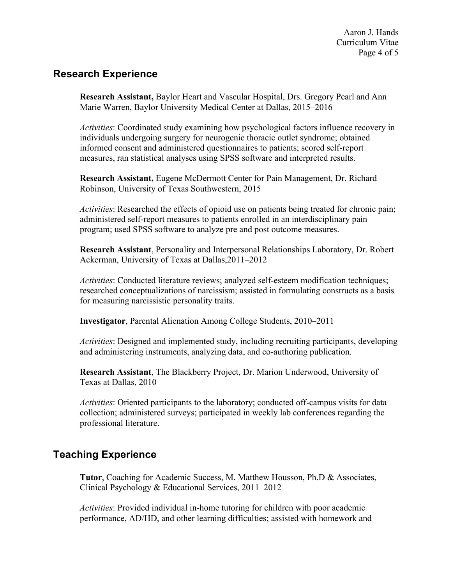# **Research Experience**

**Research Assistant,** Baylor Heart and Vascular Hospital, Drs. Gregory Pearl and Ann Marie Warren, Baylor University Medical Center at Dallas, 2015–2016

*Activities*: Coordinated study examining how psychological factors influence recovery in individuals undergoing surgery for neurogenic thoracic outlet syndrome; obtained informed consent and administered questionnaires to patients; scored self-report measures, ran statistical analyses using SPSS software and interpreted results.

**Research Assistant,** Eugene McDermott Center for Pain Management, Dr. Richard Robinson, University of Texas Southwestern, 2015

*Activities*: Researched the effects of opioid use on patients being treated for chronic pain; administered self-report measures to patients enrolled in an interdisciplinary pain program; used SPSS software to analyze pre and post outcome measures.

**Research Assistant**, Personality and Interpersonal Relationships Laboratory, Dr. Robert Ackerman, University of Texas at Dallas,2011–2012

*Activities*: Conducted literature reviews; analyzed self-esteem modification techniques; researched conceptualizations of narcissism; assisted in formulating constructs as a basis for measuring narcissistic personality traits.

**Investigator**, Parental Alienation Among College Students, 2010–2011

*Activities*: Designed and implemented study, including recruiting participants, developing and administering instruments, analyzing data, and co-authoring publication.

**Research Assistant**, The Blackberry Project, Dr. Marion Underwood, University of Texas at Dallas, 2010

*Activities*: Oriented participants to the laboratory; conducted off-campus visits for data collection; administered surveys; participated in weekly lab conferences regarding the professional literature.

## **Teaching Experience**

**Tutor**, Coaching for Academic Success, M. Matthew Housson, Ph.D & Associates, Clinical Psychology & Educational Services, 2011–2012

*Activities*: Provided individual in-home tutoring for children with poor academic performance, AD/HD, and other learning difficulties; assisted with homework and